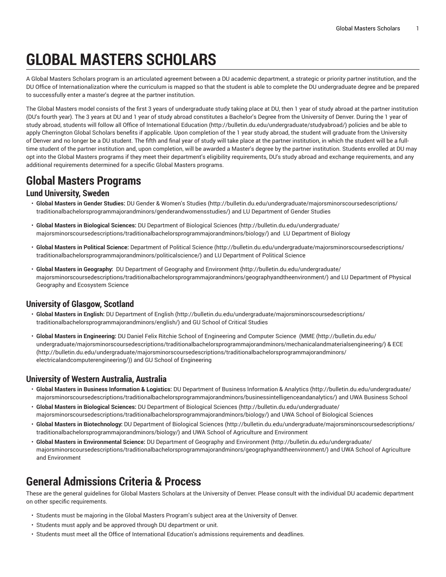# **GLOBAL MASTERS SCHOLARS**

A Global Masters Scholars program is an articulated agreement between a DU academic department, a strategic or priority partner institution, and the DU Office of Internationalization where the curriculum is mapped so that the student is able to complete the DU undergraduate degree and be prepared to successfully enter a master's degree at the partner institution.

The Global Masters model consists of the first 3 years of undergraduate study taking place at DU, then 1 year of study abroad at the partner institution (DU's fourth year). The 3 years at DU and 1 year of study abroad constitutes a Bachelor's Degree from the University of Denver. During the 1 year of study abroad, students will follow all Office of [International](http://bulletin.du.edu/undergraduate/studyabroad/) Education ([http://bulletin.du.edu/undergraduate/studyabroad/\)](http://bulletin.du.edu/undergraduate/studyabroad/) policies and be able to apply Cherrington Global Scholars benefits if applicable. Upon completion of the 1 year study abroad, the student will graduate from the University of Denver and no longer be a DU student. The fifth and final year of study will take place at the partner institution, in which the student will be a fulltime student of the partner institution and, upon completion, will be awarded a Master's degree by the partner institution. Students enrolled at DU may opt into the Global Masters programs if they meet their department's eligibility requirements, DU's study abroad and exchange requirements, and any additional requirements determined for a specific Global Masters programs.

## **Global Masters Programs**

#### **Lund University, Sweden**

- **Global Masters in Gender Studies:** DU Gender & [Women's](http://bulletin.du.edu/undergraduate/majorsminorscoursedescriptions/traditionalbachelorsprogrammajorandminors/genderandwomensstudies/) Studies [\(http://bulletin.du.edu/undergraduate/majorsminorscoursedescriptions/](http://bulletin.du.edu/undergraduate/majorsminorscoursedescriptions/traditionalbachelorsprogrammajorandminors/genderandwomensstudies/) [traditionalbachelorsprogrammajorandminors/genderandwomensstudies/\)](http://bulletin.du.edu/undergraduate/majorsminorscoursedescriptions/traditionalbachelorsprogrammajorandminors/genderandwomensstudies/) and LU Department of Gender Studies
- **Global Masters in Biological Sciences:** DU [Department](http://bulletin.du.edu/undergraduate/majorsminorscoursedescriptions/traditionalbachelorsprogrammajorandminors/biology/) of Biological Sciences [\(http://bulletin.du.edu/undergraduate/](http://bulletin.du.edu/undergraduate/majorsminorscoursedescriptions/traditionalbachelorsprogrammajorandminors/biology/) [majorsminorscoursedescriptions/traditionalbachelorsprogrammajorandminors/biology/\)](http://bulletin.du.edu/undergraduate/majorsminorscoursedescriptions/traditionalbachelorsprogrammajorandminors/biology/) and LU Department of Biology
- **Global Masters in Political Science:** [Department](http://bulletin.du.edu/undergraduate/majorsminorscoursedescriptions/traditionalbachelorsprogrammajorandminors/politicalscience/) of Political Science ([http://bulletin.du.edu/undergraduate/majorsminorscoursedescriptions/](http://bulletin.du.edu/undergraduate/majorsminorscoursedescriptions/traditionalbachelorsprogrammajorandminors/politicalscience/) [traditionalbachelorsprogrammajorandminors/politicalscience/\)](http://bulletin.du.edu/undergraduate/majorsminorscoursedescriptions/traditionalbachelorsprogrammajorandminors/politicalscience/) and LU Department of Political Science
- **Global Masters in Geography:** DU Department of Geography and [Environment \(http://bulletin.du.edu/undergraduate/](http://bulletin.du.edu/undergraduate/majorsminorscoursedescriptions/traditionalbachelorsprogrammajorandminors/geographyandtheenvironment/) [majorsminorscoursedescriptions/traditionalbachelorsprogrammajorandminors/geographyandtheenvironment/\)](http://bulletin.du.edu/undergraduate/majorsminorscoursedescriptions/traditionalbachelorsprogrammajorandminors/geographyandtheenvironment/) and LU Department of Physical Geography and Ecosystem Science

### **University of Glasgow, Scotland**

- **Global Masters in English:** DU [Department](http://bulletin.du.edu/undergraduate/majorsminorscoursedescriptions/traditionalbachelorsprogrammajorandminors/english/) of English [\(http://bulletin.du.edu/undergraduate/majorsminorscoursedescriptions/](http://bulletin.du.edu/undergraduate/majorsminorscoursedescriptions/traditionalbachelorsprogrammajorandminors/english/) [traditionalbachelorsprogrammajorandminors/english/](http://bulletin.du.edu/undergraduate/majorsminorscoursedescriptions/traditionalbachelorsprogrammajorandminors/english/)) and GU School of Critical Studies
- **Global Masters in Engineering:** DU Daniel Felix Ritchie School of Engineering and Computer Science [\(MME](http://bulletin.du.edu/undergraduate/majorsminorscoursedescriptions/traditionalbachelorsprogrammajorandminors/mechanicalandmaterialsengineering/) ([http://bulletin.du.edu/](http://bulletin.du.edu/undergraduate/majorsminorscoursedescriptions/traditionalbachelorsprogrammajorandminors/mechanicalandmaterialsengineering/) [undergraduate/majorsminorscoursedescriptions/traditionalbachelorsprogrammajorandminors/mechanicalandmaterialsengineering/](http://bulletin.du.edu/undergraduate/majorsminorscoursedescriptions/traditionalbachelorsprogrammajorandminors/mechanicalandmaterialsengineering/)) & [ECE](http://bulletin.du.edu/undergraduate/majorsminorscoursedescriptions/traditionalbachelorsprogrammajorandminors/electricalandcomputerengineering/) ([http://bulletin.du.edu/undergraduate/majorsminorscoursedescriptions/traditionalbachelorsprogrammajorandminors/](http://bulletin.du.edu/undergraduate/majorsminorscoursedescriptions/traditionalbachelorsprogrammajorandminors/electricalandcomputerengineering/) [electricalandcomputerengineering/](http://bulletin.du.edu/undergraduate/majorsminorscoursedescriptions/traditionalbachelorsprogrammajorandminors/electricalandcomputerengineering/))) and GU School of Engineering

### **University of Western Australia, Australia**

- **Global Masters in Business Information & Logistics:** DU [Department](http://bulletin.du.edu/undergraduate/majorsminorscoursedescriptions/traditionalbachelorsprogrammajorandminors/businessintelligenceandanalytics/) of Business Information & Analytics ([http://bulletin.du.edu/undergraduate/](http://bulletin.du.edu/undergraduate/majorsminorscoursedescriptions/traditionalbachelorsprogrammajorandminors/businessintelligenceandanalytics/) [majorsminorscoursedescriptions/traditionalbachelorsprogrammajorandminors/businessintelligenceandanalytics/](http://bulletin.du.edu/undergraduate/majorsminorscoursedescriptions/traditionalbachelorsprogrammajorandminors/businessintelligenceandanalytics/)) and UWA Business School
- **Global Masters in Biological Sciences:** DU [Department](http://bulletin.du.edu/undergraduate/majorsminorscoursedescriptions/traditionalbachelorsprogrammajorandminors/biology/) of Biological Sciences [\(http://bulletin.du.edu/undergraduate/](http://bulletin.du.edu/undergraduate/majorsminorscoursedescriptions/traditionalbachelorsprogrammajorandminors/biology/) [majorsminorscoursedescriptions/traditionalbachelorsprogrammajorandminors/biology/\)](http://bulletin.du.edu/undergraduate/majorsminorscoursedescriptions/traditionalbachelorsprogrammajorandminors/biology/) and UWA School of Biological Sciences
- **Global Masters in Biotechnology:** DU [Department](http://bulletin.du.edu/undergraduate/majorsminorscoursedescriptions/traditionalbachelorsprogrammajorandminors/biology/) of Biological Sciences [\(http://bulletin.du.edu/undergraduate/majorsminorscoursedescriptions/](http://bulletin.du.edu/undergraduate/majorsminorscoursedescriptions/traditionalbachelorsprogrammajorandminors/biology/) [traditionalbachelorsprogrammajorandminors/biology/\)](http://bulletin.du.edu/undergraduate/majorsminorscoursedescriptions/traditionalbachelorsprogrammajorandminors/biology/) and UWA School of Agriculture and Environment
- **Global Masters in Environmental Science:** DU Department of Geography and [Environment](http://bulletin.du.edu/undergraduate/majorsminorscoursedescriptions/traditionalbachelorsprogrammajorandminors/geographyandtheenvironment/) ([http://bulletin.du.edu/undergraduate/](http://bulletin.du.edu/undergraduate/majorsminorscoursedescriptions/traditionalbachelorsprogrammajorandminors/geographyandtheenvironment/) [majorsminorscoursedescriptions/traditionalbachelorsprogrammajorandminors/geographyandtheenvironment/\)](http://bulletin.du.edu/undergraduate/majorsminorscoursedescriptions/traditionalbachelorsprogrammajorandminors/geographyandtheenvironment/) and UWA School of Agriculture and Environment

## **General Admissions Criteria & Process**

These are the general guidelines for Global Masters Scholars at the University of Denver. Please consult with the individual DU academic department on other specific requirements.

- Students must be majoring in the Global Masters Program's subject area at the University of Denver.
- Students must apply and be approved through DU department or unit.
- Students must meet all the Office of International Education's admissions requirements and deadlines.